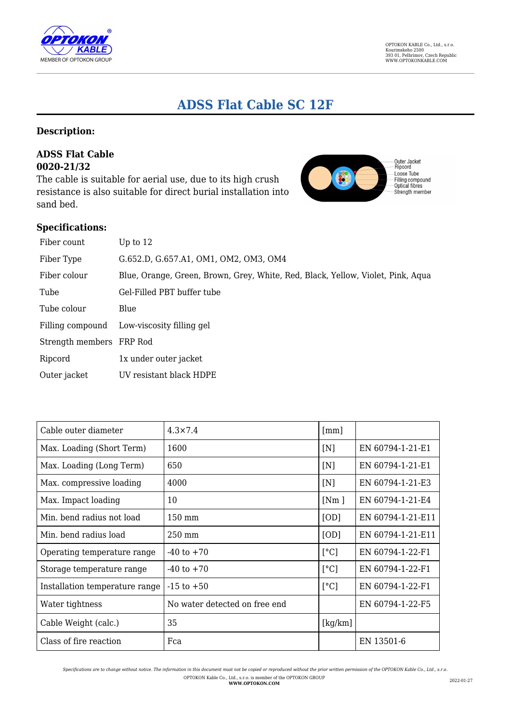

# **ADSS Flat Cable SC 12F**

## **Description:**

### **ADSS Flat Cable 0020-21/32**

The cable is suitable for aerial use, due to its high crush resistance is also suitable for direct burial installation into sand bed.



#### **Specifications:**

| Fiber count              | Up to $12$                                                                      |
|--------------------------|---------------------------------------------------------------------------------|
| Fiber Type               | G.652.D, G.657.A1, OM1, OM2, OM3, OM4                                           |
| Fiber colour             | Blue, Orange, Green, Brown, Grey, White, Red, Black, Yellow, Violet, Pink, Aqua |
| Tube                     | Gel-Filled PBT buffer tube                                                      |
| Tube colour              | Blue                                                                            |
| Filling compound         | Low-viscosity filling gel                                                       |
| Strength members FRP Rod |                                                                                 |
| Ripcord                  | 1x under outer jacket                                                           |
| Outer jacket             | UV resistant black HDPE                                                         |

| Cable outer diameter           | $4.3 \times 7.4$              | $\lceil mm \rceil$ |                   |
|--------------------------------|-------------------------------|--------------------|-------------------|
| Max. Loading (Short Term)      | 1600                          | [N]                | EN 60794-1-21-E1  |
| Max. Loading (Long Term)       | 650                           | [N]                | EN 60794-1-21-E1  |
| Max. compressive loading       | 4000                          | [N]                | EN 60794-1-21-E3  |
| Max. Impact loading            | 10                            | [Nm]               | EN 60794-1-21-E4  |
| Min. bend radius not load      | $150 \text{ mm}$              | [OD]               | EN 60794-1-21-E11 |
| Min. bend radius load          | $250 \text{ mm}$              | [OD]               | EN 60794-1-21-E11 |
| Operating temperature range    | $-40$ to $+70$                | [°C]               | EN 60794-1-22-F1  |
| Storage temperature range      | $-40$ to $+70$                | [°C]               | EN 60794-1-22-F1  |
| Installation temperature range | $-15$ to $+50$                | $\lceil$ °C]       | EN 60794-1-22-F1  |
| Water tightness                | No water detected on free end |                    | EN 60794-1-22-F5  |
| Cable Weight (calc.)           | 35                            | [kg/km]            |                   |
| Class of fire reaction         | Fca                           |                    | EN 13501-6        |

*Specifications are to change without notice. The information in this document must not be copied or reproduced without the prior written permission of the OPTOKON Kable Co., Ltd., s.r.o.* OPTOKON Kable Co., Ltd., s.r.o. is member of the OPTOKON GROUP **WWW.OPTOKON.COM** 2022-01-27